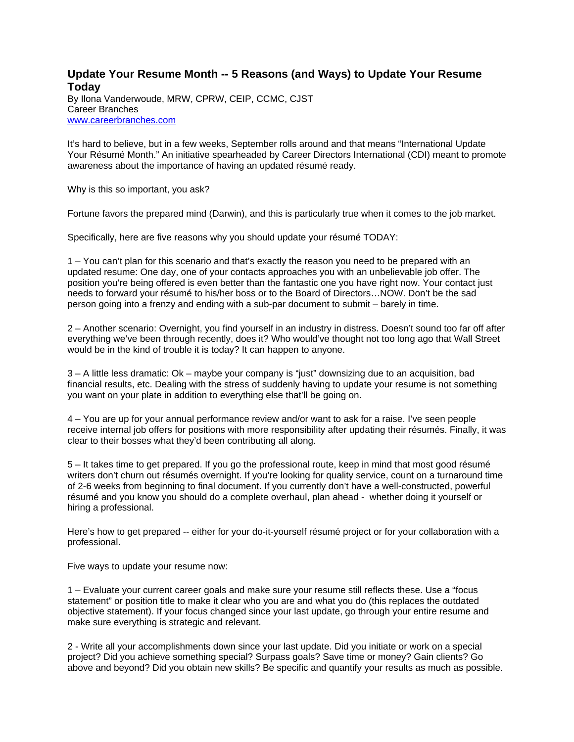## **Update Your Resume Month -- 5 Reasons (and Ways) to Update Your Resume Today**

By Ilona Vanderwoude, MRW, CPRW, CEIP, CCMC, CJST Career Branches www.careerbranches.com

It's hard to believe, but in a few weeks, September rolls around and that means "International Update Your Résumé Month." An initiative spearheaded by Career Directors International (CDI) meant to promote awareness about the importance of having an updated résumé ready.

Why is this so important, you ask?

Fortune favors the prepared mind (Darwin), and this is particularly true when it comes to the job market.

Specifically, here are five reasons why you should update your résumé TODAY:

1 – You can't plan for this scenario and that's exactly the reason you need to be prepared with an updated resume: One day, one of your contacts approaches you with an unbelievable job offer. The position you're being offered is even better than the fantastic one you have right now. Your contact just needs to forward your résumé to his/her boss or to the Board of Directors…NOW. Don't be the sad person going into a frenzy and ending with a sub-par document to submit – barely in time.

2 – Another scenario: Overnight, you find yourself in an industry in distress. Doesn't sound too far off after everything we've been through recently, does it? Who would've thought not too long ago that Wall Street would be in the kind of trouble it is today? It can happen to anyone.

3 – A little less dramatic: Ok – maybe your company is "just" downsizing due to an acquisition, bad financial results, etc. Dealing with the stress of suddenly having to update your resume is not something you want on your plate in addition to everything else that'll be going on.

4 – You are up for your annual performance review and/or want to ask for a raise. I've seen people receive internal job offers for positions with more responsibility after updating their résumés. Finally, it was clear to their bosses what they'd been contributing all along.

5 – It takes time to get prepared. If you go the professional route, keep in mind that most good résumé writers don't churn out résumés overnight. If you're looking for quality service, count on a turnaround time of 2-6 weeks from beginning to final document. If you currently don't have a well-constructed, powerful résumé and you know you should do a complete overhaul, plan ahead - whether doing it yourself or hiring a professional.

Here's how to get prepared -- either for your do-it-yourself résumé project or for your collaboration with a professional.

Five ways to update your resume now:

1 – Evaluate your current career goals and make sure your resume still reflects these. Use a "focus statement" or position title to make it clear who you are and what you do (this replaces the outdated objective statement). If your focus changed since your last update, go through your entire resume and make sure everything is strategic and relevant.

2 - Write all your accomplishments down since your last update. Did you initiate or work on a special project? Did you achieve something special? Surpass goals? Save time or money? Gain clients? Go above and beyond? Did you obtain new skills? Be specific and quantify your results as much as possible.